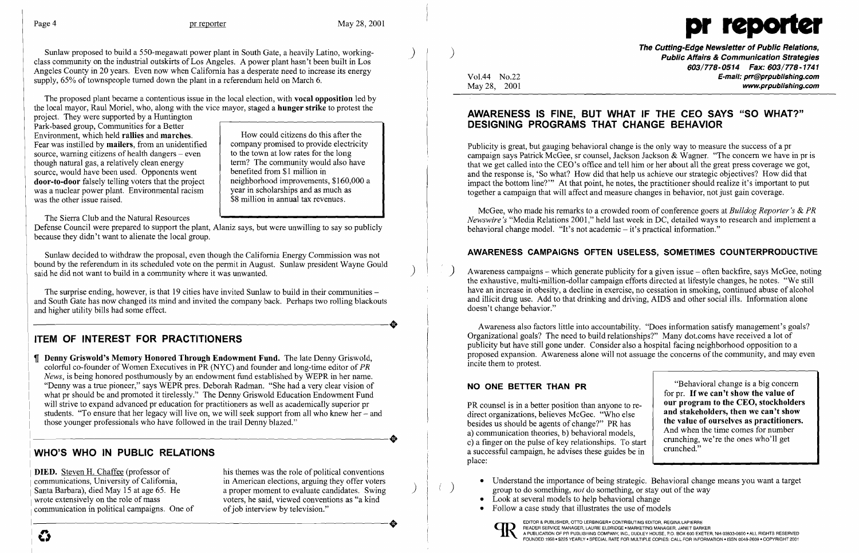

Sunlaw proposed to build a 550-megawatt power plant in South Gate, a heavily Latino, workingclass community on the industrial outskirts of Los Angeles. A power plant hasn't been built in Los Angeles County in 20 years. Even now when California has a desperate need to increase its energy supply,  $65%$  of townspeople turned down the plant in a referendum held on March 6.

> neighborhood improvements, \$160,000 a year in scholarships and as much as \$8 million in annual tax revenues.

)

How could citizens do this after the company promised to provide electricity to the town at low rates for the long term? The community would also have

benefited from \$1 million in

Sunlaw decided to withdraw the proposal, even though the California Energy Commission was not bound by the referendum in its scheduled vote on the permit in August. Sunlaw president Wayne Gould said he did not want to build in a community where it was unwanted.

The proposed plant became a contentious issue in the local election, with vocal opposition led by the local mayor, Raul Moriel, who, along with the vice mayor, staged a hunger strike to protest the

The surprise ending, however, is that 19 cities have invited Sunlaw to build in their communities and South Gate has now changed its mind and invited the company back. Perhaps two rolling blackouts and higher utility bills had some effect.

project. They were supported by a Huntington Park-based group, Communities for a Better Environment, which held rallies and marches. Fear was instilled by mailers, from an unidentified source, warning citizens of health dangers  $-$  even though natural gas, a relatively clean energy source, would have been used. Opponents went door-to-door falsely telling voters that the project was a nuclear power plant. Environmental racism was the other issue raised.

The Sierra Club and the Natural Resources

**J. Denny Griswold's Memory Honored Through Endowment Fund.** The late Denny Griswold, colorful co-founder of Women Executives in PR (NYC) and founder and long-time editor of *PR News*, is being honored posthumously by an endowment fund established by WEPR in her name. "Denny was a true pioneer," says WEPR pres. Deborah Radman. "She had a very clear vision of what pr should be and promoted it tirelessly." The Denny Griswold Education Endowment Fund will strive to expand advanced pr education for practitioners as well as academically superior pr students. "To ensure that her legacy will live on, we will seek support from all who knew her – and those younger professionals who have followed in the trail Denny blazed." those younger professionals who have followed in the trail Denny blazed."

Defense Council were prepared to support the plant, Alaniz says, but were unwilling to say so publicly because they didn't want to alienate the local group.

DIED. Steven H. Chaffee (professor of communications, University of California, Santa Barbara), died May 15 at age 65. He wrote extensively on the role of mass communication in political campaigns. One of

his themes was the role of political conventions in American elections, arguing they offer voters a proper moment to evaluate candidates. Swing voters, he said, viewed conventions as "a kind of job interview by television." wrote extensively on the role of mass voters, he said, viewed conventions as "a kind"<br>communication in political campaigns. One of of job interview by television."

The Cutting-Edge Newsletter of Public Relations, ) Public Affairs & Communication Strategies *603/778-0514 Fax: 603/778-1741*  Vol.44 No.22 **E-mail: prr@prpublishing.com**<br>May 28, 2001 www.prpublishing.com

• Understand the importance of being strategic. Behavioral change means you want a target group to do something, *not* do something, or stay out of the way

# ITEM OF INTEREST FOR PRACTITIONERS

McGee, who made his remarks to a crowded room of conference goers at *Bulldog Reporter's* & *PR Newswire's* "Media Relations 2001," held last week in DC, detailed ways to research and implement a behavioral change model. "It's not academic  $-$  it's practical information."

Awareness campaigns - which generate publicity for a given issue - often backfire, says McGee, noting the exhaustive, multi-million-dollar campaign efforts directed at lifestyle changes, he notes. "We still have an increase in obesity, a decline in exercise, no cessation in smoking, continued abuse of alcohol and illicit drug use. Add to that drinking and driving, AIDS and other social ills. Information alone doesn't change behavior."

## WHO'S WHO IN PUBLIC RELATIONS

NO ONE BETTER THAN PR **NO ONE BETTER THAN PR** "Behavioral change is a big concern for pr. If we can't show the value of<br>our program to the CEO, stockholders PR counsel is in a better position than anyone to re-<br>direct organizations, believes McGee, "Who else and stakeholders, then we can't show direct organizations, believes McGee. "Who else and stakeholders, then we can't show<br>hesides us should be agents of shange?" BP has the value of ourselves as practitioners. besides us should be agents of change?" PR has<br>a) communication theories, b) behavioral models. And when the time comes for number c) a finger on the pulse of key relationships. To start crunching, we're the ones who'll get<br>a successful compaign he advises these guides be in crunched." a successful campaign, he advises these guides be in place:

- 
- Look at several models to help behavioral change
- Follow a case study that illustrates the use of models



)

 $\boldsymbol{\mathcal{C}}$ 

## AWARENESS IS FINE, BUT WHAT IF THE CEO SAYS "SO WHAT?" DESIGNING PROGRAMS THAT CHANGE BEHAVIOR

Publicity is great, but gauging behavioral change is the only way to measure the success of apr campaign says Patrick McGee, sr counsel, Jackson Jackson & Wagner. "The concern we have in pr is that we get called into the CEO's office and tell him or her about all the great press coverage we got, and the response is, 'So what? How did that help us achieve our strategic objectives? How did that impact the bottom line?'" At that point, he notes, the practitioner should realize it's important to put together a campaign that will affect and measure changes in behavior, not just gain coverage.

## AWARENESS CAMPAIGNS OFTEN USELESS, SOMETIMES COUNTERPRODUCTIVE

Awareness also factors little into accountability. "Does information satisfy management's goals? Organizational goals? The need to build relationships?" Many dot.coms have received a lot of publicity but have still gone under. Consider also a hospital facing neighborhood opposition to a proposed expansion. Awareness alone will not assuage the concerns of the community, and may even incite them to protest.